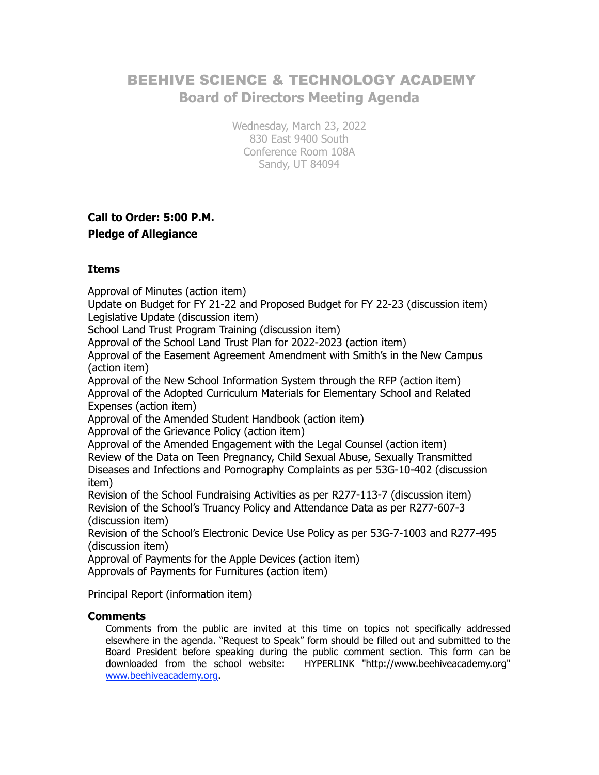# BEEHIVE SCIENCE & TECHNOLOGY ACADEMY **Board of Directors Meeting Agenda**

Wednesday, March 23, 2022 830 East 9400 South Conference Room 108A Sandy, UT 84094

# **Call to Order: 5:00 P.M.**

#### **Pledge of Allegiance**

### **Items**

Approval of Minutes (action item)

Update on Budget for FY 21-22 and Proposed Budget for FY 22-23 (discussion item) Legislative Update (discussion item)

School Land Trust Program Training (discussion item)

Approval of the School Land Trust Plan for 2022-2023 (action item)

Approval of the Easement Agreement Amendment with Smith's in the New Campus (action item)

Approval of the New School Information System through the RFP (action item) Approval of the Adopted Curriculum Materials for Elementary School and Related Expenses (action item)

Approval of the Amended Student Handbook (action item)

Approval of the Grievance Policy (action item)

Approval of the Amended Engagement with the Legal Counsel (action item) Review of the Data on Teen Pregnancy, Child Sexual Abuse, Sexually Transmitted Diseases and Infections and Pornography Complaints as per 53G-10-402 (discussion item)

Revision of the School Fundraising Activities as per R277-113-7 (discussion item) Revision of the School's Truancy Policy and Attendance Data as per R277-607-3 (discussion item)

Revision of the School's Electronic Device Use Policy as per 53G-7-1003 and R277-495 (discussion item)

Approval of Payments for the Apple Devices (action item)

Approvals of Payments for Furnitures (action item)

Principal Report (information item)

#### **Comments**

Comments from the public are invited at this time on topics not specifically addressed elsewhere in the agenda. "Request to Speak" form should be filled out and submitted to the Board President before speaking during the public comment section. This form can be downloaded from the school website: HYPERLINK "http://www.beehiveacademy.org" www.beehiveacademy.org.